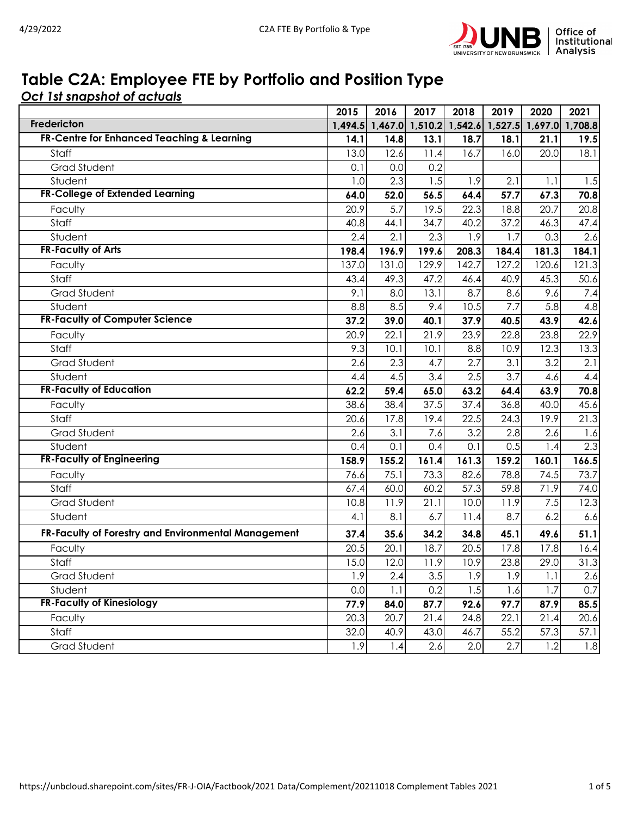

## **Table C2A: Employee FTE by Portfolio and Position Type**

*Oct 1st snapshot of actuals*

|                                                     | 2015    | 2016    | 2017  | 2018              | 2019  | 2020                    | 2021             |
|-----------------------------------------------------|---------|---------|-------|-------------------|-------|-------------------------|------------------|
| Fredericton                                         | 1,494.5 | 1,467.0 |       | $1,510.2$ 1,542.6 |       | 1,527.5 1,697.0 1,708.8 |                  |
| FR-Centre for Enhanced Teaching & Learning          | 14.1    | 14.8    | 13.1  | 18.7              | 18.1  | 21.1                    | 19.5             |
| Staff                                               | 13.0    | 12.6    | 11.4  | 16.7              | 16.0  | 20.0                    | 18.1             |
| <b>Grad Student</b>                                 | 0.1     | 0.0     | 0.2   |                   |       |                         |                  |
| Student                                             | 1.0     | 2.3     | 1.5   | 1.9               | 2.1   | 1.1                     | 1.5              |
| <b>FR-College of Extended Learning</b>              | 64.0    | 52.0    | 56.5  | 64.4              | 57.7  | 67.3                    | 70.8             |
| Faculty                                             | 20.9    | 5.7     | 19.5  | 22.3              | 18.8  | 20.7                    | 20.8             |
| Staff                                               | 40.8    | 44.1    | 34.7  | 40.2              | 37.2  | 46.3                    | 47.4             |
| Student                                             | 2.4     | 2.1     | 2.3   | 1.9               | 1.7   | 0.3                     | 2.6              |
| <b>FR-Faculty of Arts</b>                           | 198.4   | 196.9   | 199.6 | 208.3             | 184.4 | 181.3                   | 184.1            |
| Faculty                                             | 137.0   | 131.0   | 129.9 | 142.7             | 127.2 | 120.6                   | 121.3            |
| Staff                                               | 43.4    | 49.3    | 47.2  | 46.4              | 40.9  | 45.3                    | 50.6             |
| <b>Grad Student</b>                                 | 9.1     | 8.0     | 13.1  | 8.7               | 8.6   | 9.6                     | 7.4              |
| Student                                             | 8.8     | 8.5     | 9.4   | 10.5              | 7.7   | 5.8                     | 4.8              |
| <b>FR-Faculty of Computer Science</b>               | 37.2    | 39.0    | 40.1  | 37.9              | 40.5  | 43.9                    | 42.6             |
| Faculty                                             | 20.9    | 22.1    | 21.9  | 23.9              | 22.8  | 23.8                    | 22.9             |
| Staff                                               | 9.3     | 10.1    | 10.1  | 8.8               | 10.9  | 12.3                    | 13.3             |
| <b>Grad Student</b>                                 | 2.6     | 2.3     | 4.7   | 2.7               | 3.1   | 3.2                     | 2.1              |
| Student                                             | 4.4     | 4.5     | 3.4   | 2.5               | 3.7   | 4.6                     | 4.4              |
| <b>FR-Faculty of Education</b>                      | 62.2    | 59.4    | 65.0  | 63.2              | 64.4  | 63.9                    | 70.8             |
| Faculty                                             | 38.6    | 38.4    | 37.5  | 37.4              | 36.8  | 40.0                    | 45.6             |
| Staff                                               | 20.6    | 17.8    | 19.4  | 22.5              | 24.3  | 19.9                    | 21.3             |
| <b>Grad Student</b>                                 | 2.6     | 3.1     | 7.6   | 3.2               | 2.8   | 2.6                     | 1.6              |
| Student                                             | 0.4     | 0.1     | 0.4   | 0.1               | 0.5   | 1.4                     | $\overline{2.3}$ |
| <b>FR-Faculty of Engineering</b>                    | 158.9   | 155.2   | 161.4 | 161.3             | 159.2 | 160.1                   | 166.5            |
| Faculty                                             | 76.6    | 75.1    | 73.3  | 82.6              | 78.8  | 74.5                    | 73.7             |
| Staff                                               | 67.4    | 60.0    | 60.2  | 57.3              | 59.8  | 71.9                    | 74.0             |
| Grad Student                                        | 10.8    | 11.9    | 21.1  | 10.0              | 11.9  | 7.5                     | 12.3             |
| Student                                             | 4.1     | 8.1     | 6.7   | 11.4              | 8.7   | 6.2                     | 6.6              |
| FR-Faculty of Forestry and Environmental Management | 37.4    | 35.6    | 34.2  | 34.8              | 45.1  | 49.6                    | 51.1             |
| Faculty                                             | 20.5    | 20.1    | 18.7  | 20.5              | 17.8  | 17.8                    | 16.4             |
| Staff                                               | 15.0    | 12.0    | 11.9  | 10.9              | 23.8  | 29.0                    | 31.3             |
| Grad Student                                        | 1.9     | 2.4     | 3.5   | 1.9               | 1.9   | 1.1                     | 2.6              |
| Student                                             | 0.0     | 1.1     | 0.2   | 1.5               | 1.6   | 1.7                     | 0.7              |
| <b>FR-Faculty of Kinesiology</b>                    | 77.9    | 84.0    | 87.7  | 92.6              | 97.7  | 87.9                    | 85.5             |
| Faculty                                             | 20.3    | 20.7    | 21.4  | 24.8              | 22.1  | 21.4                    | 20.6             |
| Staff                                               | 32.0    | 40.9    | 43.0  | 46.7              | 55.2  | 57.3                    | 57.1             |
| Grad Student                                        | 1.9     | 1.4     | 2.6   | 2.0               | 2.7   | 1.2                     | 1.8              |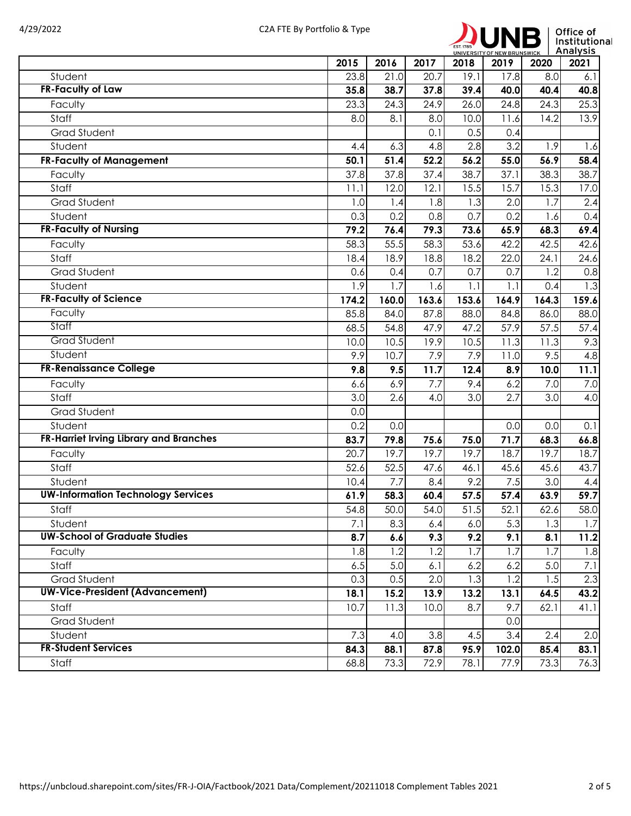

|                                           | 2015  | 2016  | 2017  | 2018              | 2019              | UNIVERSITY OF NEW BRUNSWICK THAT I GITS<br>2020 | 2021  |
|-------------------------------------------|-------|-------|-------|-------------------|-------------------|-------------------------------------------------|-------|
| Student                                   | 23.8  | 21.0  | 20.7  | 19.1              | 17.8              | 8.0                                             | 6.1   |
| <b>FR-Faculty of Law</b>                  | 35.8  | 38.7  | 37.8  | 39.4              | 40.0              | 40.4                                            | 40.8  |
| Faculty                                   | 23.3  | 24.3  | 24.9  | 26.0              | 24.8              | 24.3                                            | 25.3  |
| Staff                                     | 8.0   | 8.1   | 8.0   | 10.0              | 11.6              | 14.2                                            | 13.9  |
| <b>Grad Student</b>                       |       |       | 0.1   | 0.5               | 0.4               |                                                 |       |
| Student                                   | 4.4   | 6.3   | 4.8   | 2.8               | 3.2               | 1.9                                             | 1.6   |
| <b>FR-Faculty of Management</b>           | 50.1  | 31.4  | 52.2  | 56.2              | 55.0              | 56.9                                            | 58.4  |
| Faculty                                   | 37.8  | 37.8  | 37.4  | 38.7              | 37.1              | 38.3                                            | 38.7  |
| Staff                                     | 11.1  | 12.0  | 12.1  | 15.5              | 15.7              | 15.3                                            | 17.0  |
| <b>Grad Student</b>                       | 1.0   | 1.4   | 1.8   | 1.3               | 2.0               | 1.7                                             | 2.4   |
| Student                                   | 0.3   | 0.2   | 0.8   | 0.7               | 0.2               | 1.6                                             | 0.4   |
| <b>FR-Faculty of Nursing</b>              | 79.2  | 76.4  | 79.3  | 73.6              | 65.9              | 68.3                                            | 69.4  |
| Faculty                                   | 58.3  | 55.5  | 58.3  | 53.6              | 42.2              | 42.5                                            | 42.6  |
| Staff                                     | 18.4  | 18.9  | 18.8  | 18.2              | 22.0              | 24.1                                            | 24.6  |
| <b>Grad Student</b>                       | 0.6   | 0.4   | 0.7   | 0.7               | 0.7               | 1.2                                             | 0.8   |
| Student                                   | 1.9   | 1.7   | 1.6   | 1.1               | 1.1               | 0.4                                             | 1.3   |
| <b>FR-Faculty of Science</b>              | 174.2 | 160.0 | 163.6 | 153.6             | 164.9             | 164.3                                           | 159.6 |
| Faculty                                   | 85.8  | 84.0  | 87.8  | 88.0              | 84.8              | 86.0                                            | 88.0  |
| Staff                                     | 68.5  | 54.8  | 47.9  | 47.2              | 57.9              | 57.5                                            | 57.4  |
| <b>Grad Student</b>                       | 10.0  | 10.5  | 19.9  | 10.5              | $\overline{11.3}$ | $\overline{11.3}$                               | 9.3   |
| Student                                   | 9.9   | 10.7  | 7.9   | 7.9               | 11.0              | 9.5                                             | 4.8   |
| <b>FR-Renaissance College</b>             | 9.8   | 9.5   | 11.7  | 12.4              | 8.9               | 10.0                                            | 11.1  |
| Faculty                                   | 6.6   | 6.9   | 7.7   | 9.4               | 6.2               | 7.0                                             | 7.0   |
| Staff                                     | 3.0   | 2.6   | 4.0   | 3.0               | 2.7               | 3.0                                             | 4.0   |
| <b>Grad Student</b>                       | 0.0   |       |       |                   |                   |                                                 |       |
| Student                                   | 0.2   | 0.0   |       |                   | 0.0               | 0.0                                             | 0.1   |
| FR-Harriet Irving Library and Branches    | 83.7  | 79.8  | 75.6  | 75.0              | 71.7              | 68.3                                            | 66.8  |
| Faculty                                   | 20.7  | 19.7  | 19.7  | 19.7              | 18.7              | 19.7                                            | 18.7  |
| Staff                                     | 52.6  | 52.5  | 47.6  | 46.1              | 45.6              | 45.6                                            | 43.7  |
| Student                                   | 10.4  | 7.7   | 8.4   | 9.2               | 7.5               | 3.0                                             | 4.4   |
| <b>UW-Information Technology Services</b> | 61.9  | 58.3  | 60.4  | 57.5              | 57.4              | 63.9                                            | 59.7  |
| Staff                                     | 54.8  | 50.0  | 54.0  | $\overline{51.5}$ | 52.1              | 62.6                                            | 58.0  |
| Student                                   | 7.1   | 8.3   | 6.4   | 6.0               | 5.3               | 1.3                                             | 1.7   |
| <b>UW-School of Graduate Studies</b>      | 8.7   | 6.6   | 9.3   | 9.2               | 9.1               | 8.1                                             | 11.2  |
| Faculty                                   | 1.8   | 1.2   | 1.2   | 1.7               | 1.7               | 1.7                                             | 1.8   |
| Staff                                     | 6.5   | 5.0   | 6.1   | 6.2               | 6.2               | 5.0                                             | 7.1   |
| Grad Student                              | 0.3   | 0.5   | 2.0   | 1.3               | 1.2               | 1.5                                             | 2.3   |
| <b>UW-Vice-President (Advancement)</b>    | 18.1  | 15.2  | 13.9  | 13.2              | 13.1              | 64.5                                            | 43.2  |
| Staff                                     | 10.7  | 11.3  | 10.0  | 8.7               | 9.7               | 62.1                                            | 41.1  |
| Grad Student                              |       |       |       |                   | 0.0               |                                                 |       |
| Student                                   | 7.3   | 4.0   | 3.8   | 4.5               | 3.4               | 2.4                                             | 2.0   |
| <b>FR-Student Services</b>                | 84.3  | 88.1  | 87.8  | 95.9              | 102.0             | 85.4                                            | 83.1  |
| Staff                                     | 68.8  | 73.3  | 72.9  | 78.1              | 77.9              | 73.3                                            | 76.3  |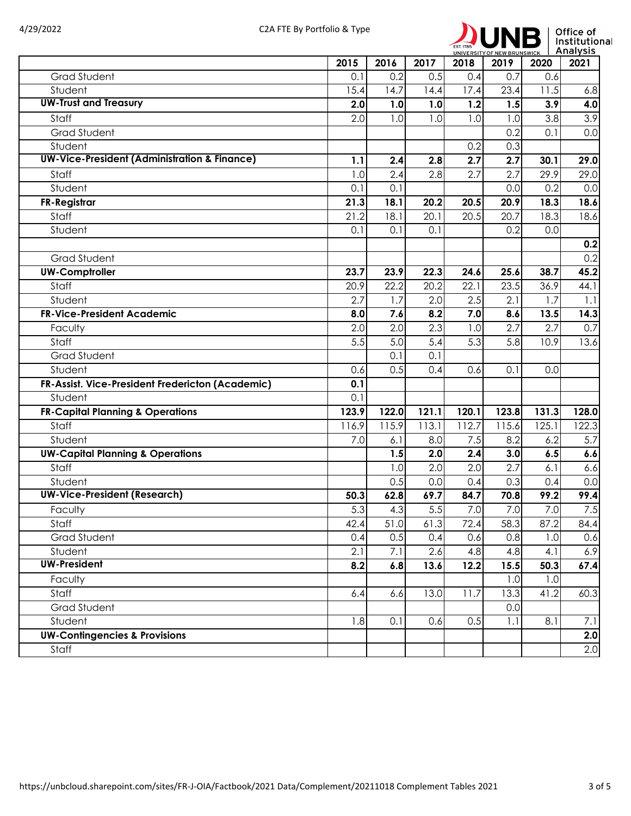

|                                                         | 2015             | 2016  | 2017             | 2018  | 2019  | UNIVERSITY OF NEW BRUNSWICK   MITCH YOUR<br>2020 | 2021  |
|---------------------------------------------------------|------------------|-------|------------------|-------|-------|--------------------------------------------------|-------|
| <b>Grad Student</b>                                     | 0.1              | 0.2   | 0.5              | 0.4   | 0.7   | 0.6                                              |       |
| Student                                                 | 15.4             | 14.7  | 14.4             | 17.4  | 23.4  | 11.5                                             | 6.8   |
| <b>UW-Trust and Treasury</b>                            | 2.0              | 1.0   | 1.0              | 1.2   | 1.5   | 3.9                                              | 4.0   |
| Staff                                                   | 2.0              | 1.0   | 1.0              | 1.0   | 1.0   | 3.8                                              | 3.9   |
| <b>Grad Student</b>                                     |                  |       |                  |       | 0.2   | 0.1                                              | 0.0   |
| Student                                                 |                  |       |                  | 0.2   | 0.3   |                                                  |       |
| <b>UW-Vice-President (Administration &amp; Finance)</b> | 1.1              | 2.4   | 2.8              | 2.7   | 2.7   | 30.1                                             | 29.0  |
| Staff                                                   | 1.0              | 2.4   | 2.8              | 2.7   | 2.7   | 29.9                                             | 29.0  |
| Student                                                 | 0.1              | 0.1   |                  |       | 0.0   | 0.2                                              | 0.0   |
| <b>FR-Registrar</b>                                     | 21.3             | 18.1  | 20.2             | 20.5  | 20.9  | 18.3                                             | 18.6  |
| Staff                                                   | 21.2             | 18.1  | 20.1             | 20.5  | 20.7  | 18.3                                             | 18.6  |
| Student                                                 | 0.1              | 0.1   | 0.1              |       | 0.2   | 0.0                                              |       |
|                                                         |                  |       |                  |       |       |                                                  | 0.2   |
| <b>Grad Student</b>                                     |                  |       |                  |       |       |                                                  | 0.2   |
| <b>UW-Comptroller</b>                                   | 23.7             | 23.9  | 22.3             | 24.6  | 25.6  | 38.7                                             | 45.2  |
| Staff                                                   | 20.9             | 22.2  | 20.2             | 22.1  | 23.5  | 36.9                                             | 44.1  |
| Student                                                 | 2.7              | 1.7   | 2.0              | 2.5   | 2.1   | 1.7                                              | 1.1   |
| <b>FR-Vice-President Academic</b>                       | 8.0              | 7.6   | 8.2              | 7.0   | 8.6   | 13.5                                             | 14.3  |
| Faculty                                                 | 2.0              | 2.0   | 2.3              | 1.0   | 2.7   | 2.7                                              | 0.7   |
| Staff                                                   | $\overline{5.5}$ | 5.0   | $\overline{5.4}$ | 5.3   | 5.8   | 10.9                                             | 13.6  |
| <b>Grad Student</b>                                     |                  | 0.1   | 0.1              |       |       |                                                  |       |
| Student                                                 | 0.6              | 0.5   | 0.4              | 0.6   | 0.1   | 0.0                                              |       |
| FR-Assist. Vice-President Fredericton (Academic)        | 0.1              |       |                  |       |       |                                                  |       |
| Student                                                 | 0.1              |       |                  |       |       |                                                  |       |
| <b>FR-Capital Planning &amp; Operations</b>             | 123.9            | 122.0 | 121.1            | 120.1 | 123.8 | 131.3                                            | 128.0 |
| Staff                                                   | 116.9            | 115.9 | 113.1            | 112.7 | 115.6 | 125.1                                            | 122.3 |
| Student                                                 | 7.0              | 6.1   | 8.0              | 7.5   | 8.2   | 6.2                                              | 5.7   |
| <b>UW-Capital Planning &amp; Operations</b>             |                  | 1.5   | 2.0              | 2.4   | 3.0   | 6.5                                              | 6.6   |
| Staff                                                   |                  | 1.0   | 2.0              | 2.0   | 2.7   | 6.1                                              | 6.6   |
| Student                                                 |                  | 0.5   | 0.0              | 0.4   | 0.3   | 0.4                                              | 0.0   |
| <b>UW-Vice-President (Research)</b>                     | 50.3             | 62.8  | 69.7             | 84.7  | 70.8  | 99.2                                             | 99.4  |
| Faculty                                                 | $\overline{5.3}$ | 4.3   | 5.5              | 7.0   | 7.0   | 7.0                                              | 7.5   |
| Staff                                                   | 42.4             | 51.0  | 61.3             | 72.4  | 58.3  | 87.2                                             | 84.4  |
| Grad Student                                            | 0.4              | 0.5   | 0.4              | 0.6   | 0.8   | 1.0                                              | 0.6   |
| Student                                                 | 2.1              | 7.1   | 2.6              | 4.8   | 4.8   | 4.1                                              | 6.9   |
| <b>UW-President</b>                                     | 8.2              | 6.8   | 13.6             | 12.2  | 15.5  | 50.3                                             | 67.4  |
| Faculty                                                 |                  |       |                  |       | 1.0   | 1.0                                              |       |
| Staff                                                   | 6.4              | 6.6   | 13.0             | 11.7  | 13.3  | 41.2                                             | 60.3  |
| <b>Grad Student</b>                                     |                  |       |                  |       | 0.0   |                                                  |       |
| Student                                                 | 1.8              | 0.1   | 0.6              | 0.5   | 1.1   | 8.1                                              | 7.1   |
| <b>UW-Contingencies &amp; Provisions</b>                |                  |       |                  |       |       |                                                  | 2.0   |
| Staff                                                   |                  |       |                  |       |       |                                                  | 2.0   |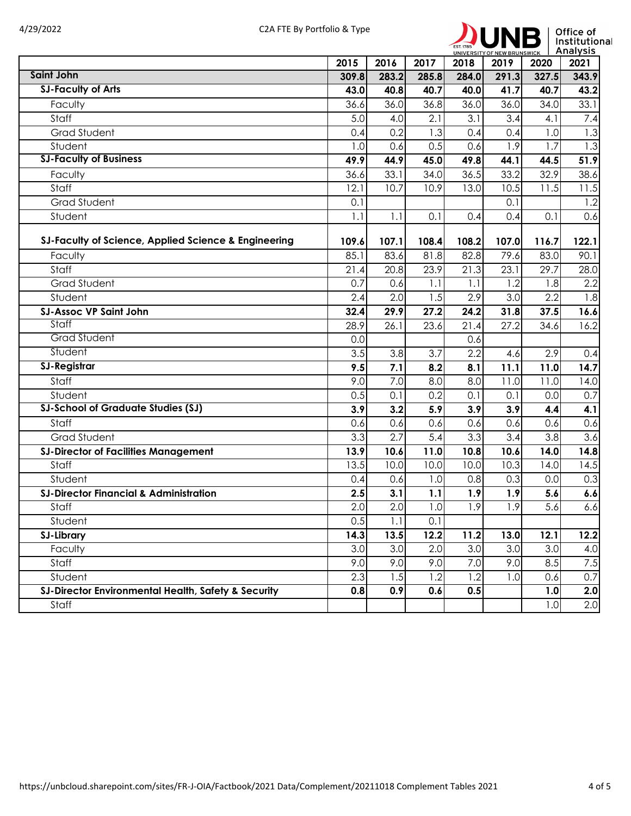

|                                                      |                  |                   |                  |               |               | UNIVERSITY OF NEW BRUNSWICK   ANDIVSIS |                  |
|------------------------------------------------------|------------------|-------------------|------------------|---------------|---------------|----------------------------------------|------------------|
| <b>Saint John</b>                                    | 2015<br>309.8    | 2016<br>283.2     | 2017<br>285.8    | 2018<br>284.0 | 2019<br>291.3 | 2020<br>327.5                          | 2021<br>343.9    |
| <b>SJ-Faculty of Arts</b>                            | 43.0             | 40.8              | 40.7             | 40.0          | 41.7          | 40.7                                   | 43.2             |
| Faculty                                              | 36.6             | 36.0              | 36.8             | 36.0          | 36.0          | 34.0                                   | 33.1             |
| Staff                                                | 5.0              | 4.0               | 2.1              | 3.1           | 3.4           | 4.1                                    | 7.4              |
| <b>Grad Student</b>                                  | 0.4              | 0.2               | 1.3              | 0.4           | 0.4           | 1.0                                    | 1.3              |
| Student                                              | 1.0              | 0.6               | 0.5              | 0.6           | 1.9           | 1.7                                    | $\overline{1.3}$ |
| <b>SJ-Faculty of Business</b>                        | 49.9             | 44.9              | 45.0             | 49.8          | 44.1          | 44.5                                   | 51.9             |
| Faculty                                              | 36.6             | 33.1              | 34.0             | 36.5          | 33.2          | 32.9                                   | 38.6             |
| Staff                                                | 12.1             | 10.7              | 10.9             | 13.0          | 10.5          | 11.5                                   | 11.5             |
| <b>Grad Student</b>                                  | 0.1              |                   |                  |               | 0.1           |                                        | 1.2              |
| Student                                              | 1.1              | 1.1               | 0.1              | 0.4           | 0.4           | 0.1                                    | 0.6              |
|                                                      |                  |                   |                  |               |               |                                        |                  |
| SJ-Faculty of Science, Applied Science & Engineering | 109.6            | 107.1             | 108.4            | 108.2         | 107.0         | 116.7                                  | 122.1            |
| Faculty                                              | 85.1             | 83.6              | 81.8             | 82.8          | 79.6          | 83.0                                   | 90.1             |
| Staff                                                | 21.4             | $20.\overline{8}$ | 23.9             | 21.3          | 23.1          | 29.7                                   | 28.0             |
| <b>Grad Student</b>                                  | 0.7              | 0.6               | 1.1              | 1.1           | 1.2           | 1.8                                    | 2.2              |
| Student                                              | 2.4              | 2.0               | 1.5              | 2.9           | 3.0           | 2.2                                    | 1.8              |
| <b>SJ-Assoc VP Saint John</b>                        | 32.4             | 29.9              | 27.2             | 24.2          | 31.8          | 37.5                                   | 16.6             |
| Staff                                                | 28.9             | 26.1              | 23.6             | 21.4          | 27.2          | 34.6                                   | 16.2             |
| <b>Grad Student</b>                                  | 0.0              |                   |                  | 0.6           |               |                                        |                  |
| Student                                              | $\overline{3.5}$ | 3.8               | 3.7              | 2.2           | 4.6           | 2.9                                    | 0.4              |
| <b>SJ-Registrar</b>                                  | 9.5              | 7.1               | 8.2              | 8.1           | 11.1          | 11.0                                   | 14.7             |
| Staff                                                | 9.0              | 7.0               | 8.0              | 8.0           | 11.0          | 11.0                                   | 14.0             |
| Student                                              | 0.5              | 0.1               | 0.2              | 0.1           | 0.1           | 0.0                                    | 0.7              |
| <b>SJ-School of Graduate Studies (SJ)</b>            | 3.9              | 3.2               | 5.9              | 3.9           | 3.9           | 4.4                                    | 4.1              |
| Staff                                                | 0.6              | 0.6               | 0.6              | 0.6           | 0.6           | 0.6                                    | 0.6              |
| <b>Grad Student</b>                                  | 3.3              | 2.7               | $\overline{5.4}$ | 3.3           | 3.4           | 3.8                                    | $\overline{3.6}$ |
| <b>SJ-Director of Facilities Management</b>          | 13.9             | 10.6              | 11.0             | 10.8          | 10.6          | 14.0                                   | 14.8             |
| Staff                                                | 13.5             | 10.0              | 10.0             | 10.0          | 10.3          | 14.0                                   | 14.5             |
| Student                                              | 0.4              | 0.6               | 1.0              | 0.8           | 0.3           | 0.0                                    | 0.3              |
| <b>SJ-Director Financial &amp; Administration</b>    | 2.5              | 3.1               | 1.1              | 1.9           | 1.9           | 5.6                                    | 6.6              |
| Staff                                                | 2.0              | 2.0               | 1.0              | 1.9           | 1.9           | 5.6                                    | 6.6              |
| Student                                              | 0.5              | 1.1               | 0.1              |               |               |                                        |                  |
| <b>SJ-Library</b>                                    | 14.3             | 13.5              | 12.2             | 11.2          | 13.0          | 12.1                                   | 12.2             |
| Faculty                                              | 3.0              | $\overline{3.0}$  | 2.0              | 3.0           | 3.0           | 3.0                                    | 4.0              |
| Staff                                                | 9.0              | 9.0               | 9.0              | 7.0           | 9.0           | 8.5                                    | 7.5              |
| Student                                              | 2.3              | 1.5               | 1.2              | 1.2           | 1.0           | 0.6                                    | 0.7              |
| SJ-Director Environmental Health, Safety & Security  | 0.8              | 0.9               | 0.6              | 0.5           |               | 1.0                                    | 2.0              |
| Staff                                                |                  |                   |                  |               |               | 1.0                                    | 2.0              |